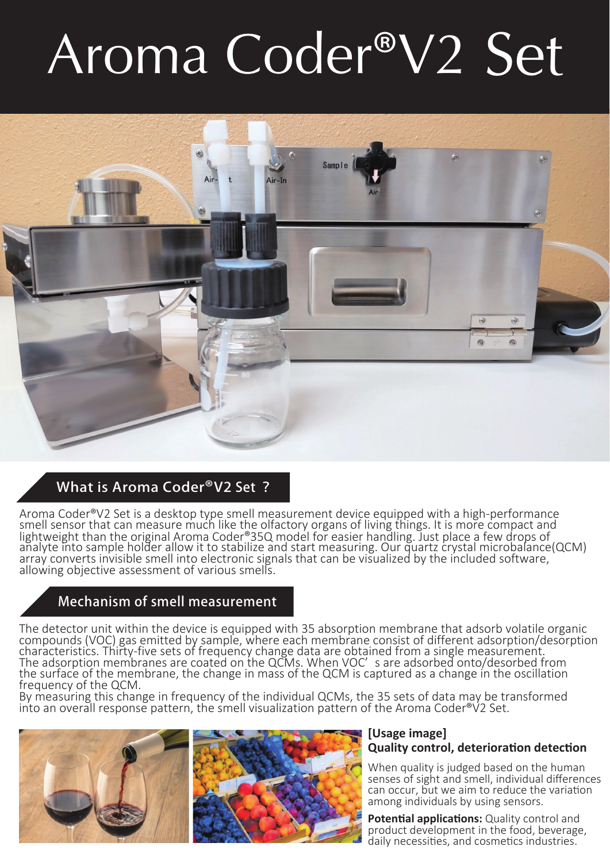# Aroma Coder®V2 Set



# What is Aroma Coder®V2 Set ?

Aroma Coder®V2 Set is a desktop type smell measurement device equipped with a high-performance<br>smell sensor that can measure much like the olfactory organs of living things. It is more compact and lightweight than the original Aroma Coder®35Q model for easier handling. Just place a few drops of<br>analyte into sample holder allow it to stabilize and start measuring. Our quartz crystal microbalance(QCM) array converts invisible smell into electronic signals that can be visualized by the included software, allowing objective assessment of various smells.

# Mechanism of smell measurement

The detector unit within the device is equipped with 35 absorption membrane that adsorb volatile organic compounds (VOC) gas emitted by sample, where each membrane consist of different adsorption/desorption characteristics. Thirty-five sets of frequency change data are obtained from a single measurement. The adsorption membranes are coated on the QCMs. When VOC' s are adsorbed onto/desorbed from the surface of the membrane, the change in mass of the QCM is captured as a change in the oscillation frequency of the QCM.

By measuring this change in frequency of the individual QCMs, the 35 sets of data may be transformed into an overall response pattern, the smell visualization pattern of the Aroma Coder<sup>®</sup>V2 Set.



### **[Usage image] Quality control, deterioration detection**

When quality is judged based on the human senses of sight and smell, individual differences can occur, but we aim to reduce the variation among individuals by using sensors.

**Potential applications:** Quality control and product development in the food, beverage, daily necessities, and cosmetics industries.